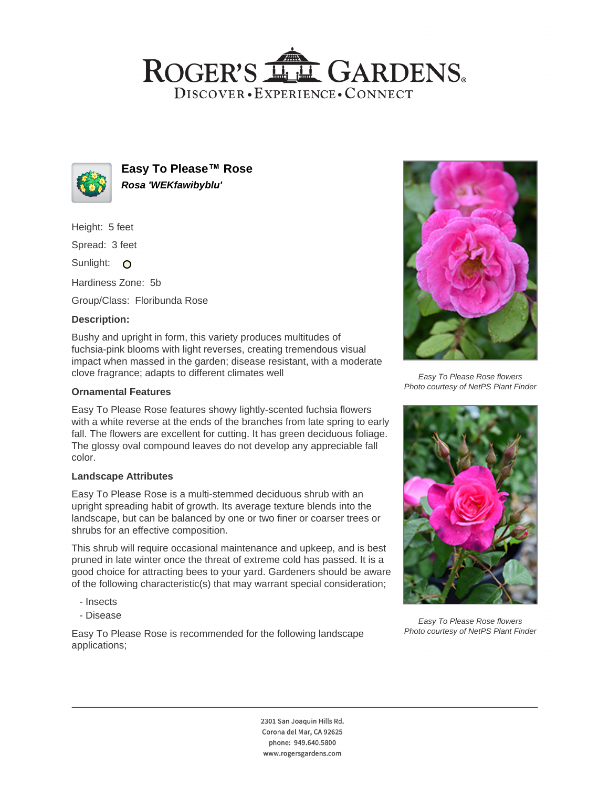# ROGER'S LL GARDENS. DISCOVER · EXPERIENCE · CONNECT



**Easy To Please™ Rose Rosa 'WEKfawibyblu'**

Height: 5 feet

Spread: 3 feet

Sunlight: O

Hardiness Zone: 5b

Group/Class: Floribunda Rose

# **Description:**

Bushy and upright in form, this variety produces multitudes of fuchsia-pink blooms with light reverses, creating tremendous visual impact when massed in the garden; disease resistant, with a moderate clove fragrance; adapts to different climates well

## **Ornamental Features**

Easy To Please Rose features showy lightly-scented fuchsia flowers with a white reverse at the ends of the branches from late spring to early fall. The flowers are excellent for cutting. It has green deciduous foliage. The glossy oval compound leaves do not develop any appreciable fall color.

#### **Landscape Attributes**

Easy To Please Rose is a multi-stemmed deciduous shrub with an upright spreading habit of growth. Its average texture blends into the landscape, but can be balanced by one or two finer or coarser trees or shrubs for an effective composition.

This shrub will require occasional maintenance and upkeep, and is best pruned in late winter once the threat of extreme cold has passed. It is a good choice for attracting bees to your yard. Gardeners should be aware of the following characteristic(s) that may warrant special consideration;

- Insects
- Disease

Easy To Please Rose is recommended for the following landscape applications;



Easy To Please Rose flowers Photo courtesy of NetPS Plant Finder



Easy To Please Rose flowers Photo courtesy of NetPS Plant Finder